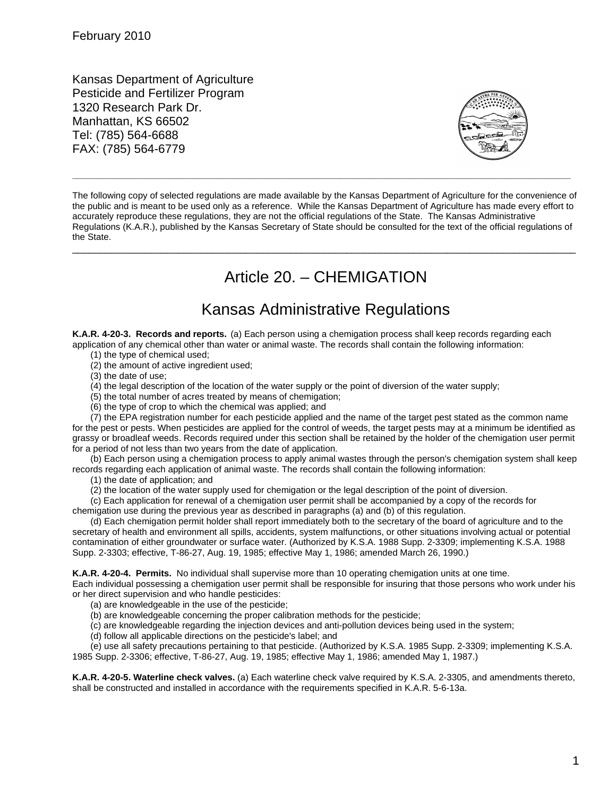Kansas Department of Agriculture Pesticide and Fertilizer Program 1320 Research Park Dr. Manhattan, KS 66502 Tel: (785) 564-6688 FAX: (785) 564-6779



The following copy of selected regulations are made available by the Kansas Department of Agriculture for the convenience of the public and is meant to be used only as a reference. While the Kansas Department of Agriculture has made every effort to accurately reproduce these regulations, they are not the official regulations of the State. The Kansas Administrative Regulations (K.A.R.), published by the Kansas Secretary of State should be consulted for the text of the official regulations of the State.

\_\_\_\_\_\_\_\_\_\_\_\_\_\_\_\_\_\_\_\_\_\_\_\_\_\_\_\_\_\_\_\_\_\_\_\_\_\_\_\_\_\_\_\_\_\_\_\_\_\_\_\_\_\_\_\_\_\_\_\_\_\_\_\_\_\_\_\_\_\_\_\_\_\_\_\_\_\_\_\_\_\_\_\_\_\_\_\_\_\_

**\_\_\_\_\_\_\_\_\_\_\_\_\_\_\_\_\_\_\_\_\_\_\_\_\_\_\_\_\_\_\_\_\_\_\_\_\_\_\_\_\_\_\_\_\_\_\_\_\_\_\_\_\_\_\_\_\_\_\_\_\_\_\_\_\_\_\_\_\_\_\_\_\_\_\_\_\_\_\_\_\_\_\_\_\_\_\_\_\_\_\_\_\_\_\_\_\_\_\_**

# Article 20. – CHEMIGATION

## Kansas Administrative Regulations

**K.A.R. 4-20-3. Records and reports.** (a) Each person using a chemigation process shall keep records regarding each application of any chemical other than water or animal waste. The records shall contain the following information:

(1) the type of chemical used;

(2) the amount of active ingredient used;

(3) the date of use;

(4) the legal description of the location of the water supply or the point of diversion of the water supply;

(5) the total number of acres treated by means of chemigation;

(6) the type of crop to which the chemical was applied; and

(7) the EPA registration number for each pesticide applied and the name of the target pest stated as the common name for the pest or pests. When pesticides are applied for the control of weeds, the target pests may at a minimum be identified as grassy or broadleaf weeds. Records required under this section shall be retained by the holder of the chemigation user permit for a period of not less than two years from the date of application.

(b) Each person using a chemigation process to apply animal wastes through the person's chemigation system shall keep records regarding each application of animal waste. The records shall contain the following information:

(1) the date of application; and

(2) the location of the water supply used for chemigation or the legal description of the point of diversion.

(c) Each application for renewal of a chemigation user permit shall be accompanied by a copy of the records for chemigation use during the previous year as described in paragraphs (a) and (b) of this regulation.

(d) Each chemigation permit holder shall report immediately both to the secretary of the board of agriculture and to the secretary of health and environment all spills, accidents, system malfunctions, or other situations involving actual or potential contamination of either groundwater or surface water. (Authorized by K.S.A. 1988 Supp. 2-3309; implementing K.S.A. 1988 Supp. 2-3303; effective, T-86-27, Aug. 19, 1985; effective May 1, 1986; amended March 26, 1990.)

**K.A.R. 4-20-4. Permits.** No individual shall supervise more than 10 operating chemigation units at one time.

Each individual possessing a chemigation user permit shall be responsible for insuring that those persons who work under his or her direct supervision and who handle pesticides:

(a) are knowledgeable in the use of the pesticide;

(b) are knowledgeable concerning the proper calibration methods for the pesticide;

(c) are knowledgeable regarding the injection devices and anti-pollution devices being used in the system;

(d) follow all applicable directions on the pesticide's label; and

(e) use all safety precautions pertaining to that pesticide. (Authorized by K.S.A. 1985 Supp. 2-3309; implementing K.S.A. 1985 Supp. 2-3306; effective, T-86-27, Aug. 19, 1985; effective May 1, 1986; amended May 1, 1987.)

**K.A.R. 4-20-5. Waterline check valves.** (a) Each waterline check valve required by K.S.A. 2-3305, and amendments thereto, shall be constructed and installed in accordance with the requirements specified in K.A.R. 5-6-13a.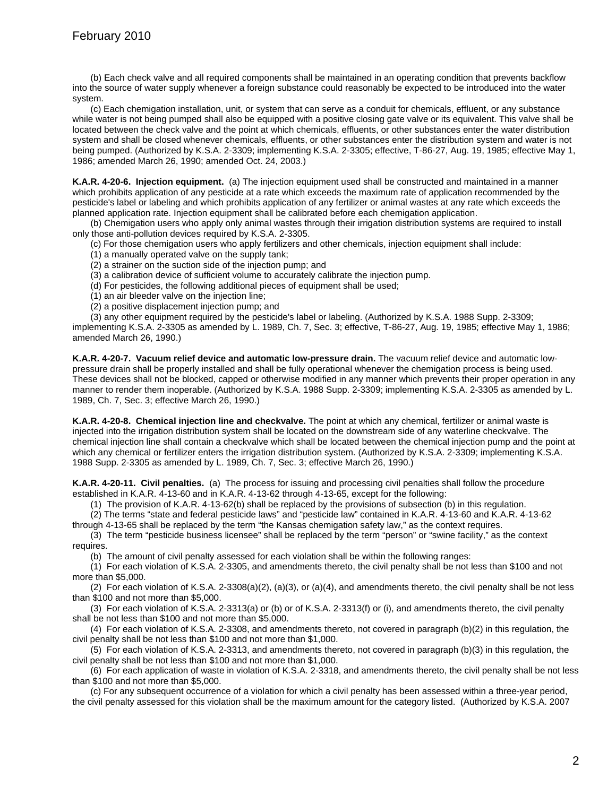(b) Each check valve and all required components shall be maintained in an operating condition that prevents backflow into the source of water supply whenever a foreign substance could reasonably be expected to be introduced into the water system.

(c) Each chemigation installation, unit, or system that can serve as a conduit for chemicals, effluent, or any substance while water is not being pumped shall also be equipped with a positive closing gate valve or its equivalent. This valve shall be located between the check valve and the point at which chemicals, effluents, or other substances enter the water distribution system and shall be closed whenever chemicals, effluents, or other substances enter the distribution system and water is not being pumped. (Authorized by K.S.A. 2-3309; implementing K.S.A. 2-3305; effective, T-86-27, Aug. 19, 1985; effective May 1, 1986; amended March 26, 1990; amended Oct. 24, 2003.)

**K.A.R. 4-20-6. Injection equipment.** (a) The injection equipment used shall be constructed and maintained in a manner which prohibits application of any pesticide at a rate which exceeds the maximum rate of application recommended by the pesticide's label or labeling and which prohibits application of any fertilizer or animal wastes at any rate which exceeds the planned application rate. Injection equipment shall be calibrated before each chemigation application.

(b) Chemigation users who apply only animal wastes through their irrigation distribution systems are required to install only those anti-pollution devices required by K.S.A. 2-3305.

(c) For those chemigation users who apply fertilizers and other chemicals, injection equipment shall include:

(1) a manually operated valve on the supply tank;

(2) a strainer on the suction side of the injection pump; and

(3) a calibration device of sufficient volume to accurately calibrate the injection pump.

(d) For pesticides, the following additional pieces of equipment shall be used;

(1) an air bleeder valve on the injection line;

(2) a positive displacement injection pump; and

(3) any other equipment required by the pesticide's label or labeling. (Authorized by K.S.A. 1988 Supp. 2-3309; implementing K.S.A. 2-3305 as amended by L. 1989, Ch. 7, Sec. 3; effective, T-86-27, Aug. 19, 1985; effective May 1, 1986; amended March 26, 1990.)

**K.A.R. 4-20-7. Vacuum relief device and automatic low-pressure drain.** The vacuum relief device and automatic lowpressure drain shall be properly installed and shall be fully operational whenever the chemigation process is being used. These devices shall not be blocked, capped or otherwise modified in any manner which prevents their proper operation in any manner to render them inoperable. (Authorized by K.S.A. 1988 Supp. 2-3309; implementing K.S.A. 2-3305 as amended by L. 1989, Ch. 7, Sec. 3; effective March 26, 1990.)

**K.A.R. 4-20-8. Chemical injection line and checkvalve.** The point at which any chemical, fertilizer or animal waste is injected into the irrigation distribution system shall be located on the downstream side of any waterline checkvalve. The chemical injection line shall contain a checkvalve which shall be located between the chemical injection pump and the point at which any chemical or fertilizer enters the irrigation distribution system. (Authorized by K.S.A. 2-3309; implementing K.S.A. 1988 Supp. 2-3305 as amended by L. 1989, Ch. 7, Sec. 3; effective March 26, 1990.)

**K.A.R. 4-20-11. Civil penalties.** (a) The process for issuing and processing civil penalties shall follow the procedure established in K.A.R. 4-13-60 and in K.A.R. 4-13-62 through 4-13-65, except for the following:

(1) The provision of K.A.R. 4-13-62(b) shall be replaced by the provisions of subsection (b) in this regulation.

(2) The terms "state and federal pesticide laws" and "pesticide law" contained in K.A.R. 4-13-60 and K.A.R. 4-13-62

through 4-13-65 shall be replaced by the term "the Kansas chemigation safety law," as the context requires.

(3) The term "pesticide business licensee" shall be replaced by the term "person" or "swine facility," as the context requires.

(b) The amount of civil penalty assessed for each violation shall be within the following ranges:

(1) For each violation of K.S.A. 2-3305, and amendments thereto, the civil penalty shall be not less than \$100 and not more than \$5,000.

(2) For each violation of K.S.A. 2-3308(a)(2), (a)(3), or (a)(4), and amendments thereto, the civil penalty shall be not less than \$100 and not more than \$5,000.

(3) For each violation of K.S.A. 2-3313(a) or (b) or of K.S.A. 2-3313(f) or (i), and amendments thereto, the civil penalty shall be not less than \$100 and not more than \$5,000.

(4) For each violation of K.S.A. 2-3308, and amendments thereto, not covered in paragraph (b)(2) in this regulation, the civil penalty shall be not less than \$100 and not more than \$1,000.

(5) For each violation of K.S.A. 2-3313, and amendments thereto, not covered in paragraph (b)(3) in this regulation, the civil penalty shall be not less than \$100 and not more than \$1,000.

(6) For each application of waste in violation of K.S.A. 2-3318, and amendments thereto, the civil penalty shall be not less than \$100 and not more than \$5,000.

(c) For any subsequent occurrence of a violation for which a civil penalty has been assessed within a three-year period, the civil penalty assessed for this violation shall be the maximum amount for the category listed. (Authorized by K.S.A. 2007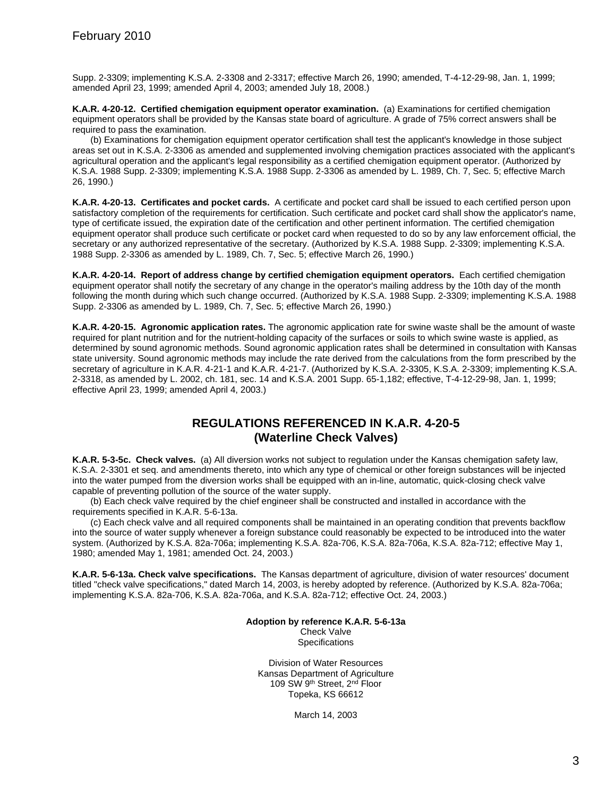Supp. 2-3309; implementing K.S.A. 2-3308 and 2-3317; effective March 26, 1990; amended, T-4-12-29-98, Jan. 1, 1999; amended April 23, 1999; amended April 4, 2003; amended July 18, 2008.)

**K.A.R. 4-20-12. Certified chemigation equipment operator examination.** (a) Examinations for certified chemigation equipment operators shall be provided by the Kansas state board of agriculture. A grade of 75% correct answers shall be required to pass the examination.

(b) Examinations for chemigation equipment operator certification shall test the applicant's knowledge in those subject areas set out in K.S.A. 2-3306 as amended and supplemented involving chemigation practices associated with the applicant's agricultural operation and the applicant's legal responsibility as a certified chemigation equipment operator. (Authorized by K.S.A. 1988 Supp. 2-3309; implementing K.S.A. 1988 Supp. 2-3306 as amended by L. 1989, Ch. 7, Sec. 5; effective March 26, 1990.)

**K.A.R. 4-20-13. Certificates and pocket cards.** A certificate and pocket card shall be issued to each certified person upon satisfactory completion of the requirements for certification. Such certificate and pocket card shall show the applicator's name, type of certificate issued, the expiration date of the certification and other pertinent information. The certified chemigation equipment operator shall produce such certificate or pocket card when requested to do so by any law enforcement official, the secretary or any authorized representative of the secretary. (Authorized by K.S.A. 1988 Supp. 2-3309; implementing K.S.A. 1988 Supp. 2-3306 as amended by L. 1989, Ch. 7, Sec. 5; effective March 26, 1990.)

**K.A.R. 4-20-14. Report of address change by certified chemigation equipment operators.** Each certified chemigation equipment operator shall notify the secretary of any change in the operator's mailing address by the 10th day of the month following the month during which such change occurred. (Authorized by K.S.A. 1988 Supp. 2-3309; implementing K.S.A. 1988 Supp. 2-3306 as amended by L. 1989, Ch. 7, Sec. 5; effective March 26, 1990.)

**K.A.R. 4-20-15. Agronomic application rates.** The agronomic application rate for swine waste shall be the amount of waste required for plant nutrition and for the nutrient-holding capacity of the surfaces or soils to which swine waste is applied, as determined by sound agronomic methods. Sound agronomic application rates shall be determined in consultation with Kansas state university. Sound agronomic methods may include the rate derived from the calculations from the form prescribed by the secretary of agriculture in K.A.R. 4-21-1 and K.A.R. 4-21-7. (Authorized by K.S.A. 2-3305, K.S.A. 2-3309; implementing K.S.A. 2-3318, as amended by L. 2002, ch. 181, sec. 14 and K.S.A. 2001 Supp. 65-1,182; effective, T-4-12-29-98, Jan. 1, 1999; effective April 23, 1999; amended April 4, 2003.)

### **REGULATIONS REFERENCED IN K.A.R. 4-20-5 (Waterline Check Valves)**

**K.A.R. 5-3-5c. Check valves.** (a) All diversion works not subject to regulation under the Kansas chemigation safety law, K.S.A. 2-3301 et seq. and amendments thereto, into which any type of chemical or other foreign substances will be injected into the water pumped from the diversion works shall be equipped with an in-line, automatic, quick-closing check valve capable of preventing pollution of the source of the water supply.

(b) Each check valve required by the chief engineer shall be constructed and installed in accordance with the requirements specified in K.A.R. 5-6-13a.

(c) Each check valve and all required components shall be maintained in an operating condition that prevents backflow into the source of water supply whenever a foreign substance could reasonably be expected to be introduced into the water system. (Authorized by K.S.A. 82a-706a; implementing K.S.A. 82a-706, K.S.A. 82a-706a, K.S.A. 82a-712; effective May 1, 1980; amended May 1, 1981; amended Oct. 24, 2003.)

**K.A.R. 5-6-13a. Check valve specifications.** The Kansas department of agriculture, division of water resources' document titled "check valve specifications," dated March 14, 2003, is hereby adopted by reference. (Authorized by K.S.A. 82a-706a; implementing K.S.A. 82a-706, K.S.A. 82a-706a, and K.S.A. 82a-712; effective Oct. 24, 2003.)

> **Adoption by reference K.A.R. 5-6-13a** Check Valve **Specifications**

Division of Water Resources Kansas Department of Agriculture 109 SW 9<sup>th</sup> Street, 2<sup>nd</sup> Floor Topeka, KS 66612

March 14, 2003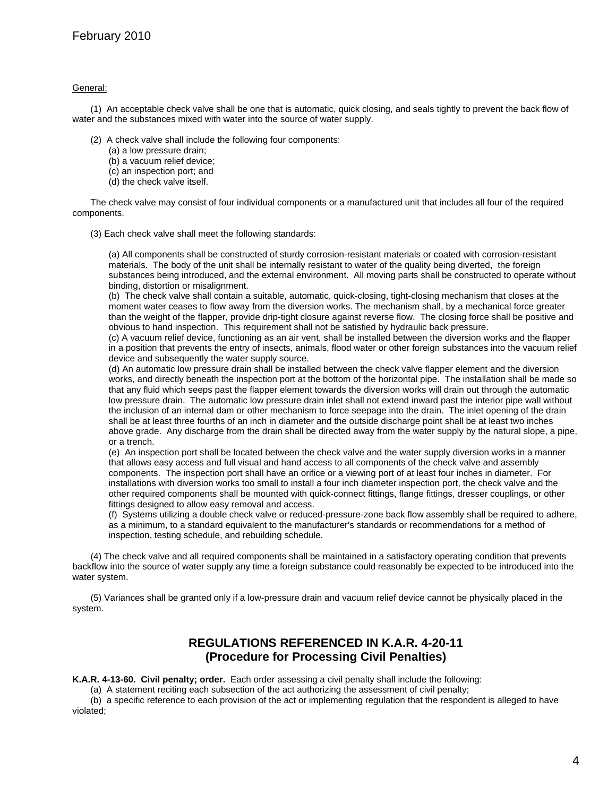#### General:

(1) An acceptable check valve shall be one that is automatic, quick closing, and seals tightly to prevent the back flow of water and the substances mixed with water into the source of water supply.

- (2) A check valve shall include the following four components:
	- (a) a low pressure drain;
	- (b) a vacuum relief device;
	- (c) an inspection port; and
	- (d) the check valve itself.

The check valve may consist of four individual components or a manufactured unit that includes all four of the required components.

(3) Each check valve shall meet the following standards:

(a) All components shall be constructed of sturdy corrosion-resistant materials or coated with corrosion-resistant materials. The body of the unit shall be internally resistant to water of the quality being diverted, the foreign substances being introduced, and the external environment. All moving parts shall be constructed to operate without binding, distortion or misalignment.

(b) The check valve shall contain a suitable, automatic, quick-closing, tight-closing mechanism that closes at the moment water ceases to flow away from the diversion works. The mechanism shall, by a mechanical force greater than the weight of the flapper, provide drip-tight closure against reverse flow. The closing force shall be positive and obvious to hand inspection. This requirement shall not be satisfied by hydraulic back pressure.

(c) A vacuum relief device, functioning as an air vent, shall be installed between the diversion works and the flapper in a position that prevents the entry of insects, animals, flood water or other foreign substances into the vacuum relief device and subsequently the water supply source.

(d) An automatic low pressure drain shall be installed between the check valve flapper element and the diversion works, and directly beneath the inspection port at the bottom of the horizontal pipe. The installation shall be made so that any fluid which seeps past the flapper element towards the diversion works will drain out through the automatic low pressure drain. The automatic low pressure drain inlet shall not extend inward past the interior pipe wall without the inclusion of an internal dam or other mechanism to force seepage into the drain. The inlet opening of the drain shall be at least three fourths of an inch in diameter and the outside discharge point shall be at least two inches above grade. Any discharge from the drain shall be directed away from the water supply by the natural slope, a pipe, or a trench.

(e) An inspection port shall be located between the check valve and the water supply diversion works in a manner that allows easy access and full visual and hand access to all components of the check valve and assembly components. The inspection port shall have an orifice or a viewing port of at least four inches in diameter. For installations with diversion works too small to install a four inch diameter inspection port, the check valve and the other required components shall be mounted with quick-connect fittings, flange fittings, dresser couplings, or other fittings designed to allow easy removal and access.

(f) Systems utilizing a double check valve or reduced-pressure-zone back flow assembly shall be required to adhere, as a minimum, to a standard equivalent to the manufacturer's standards or recommendations for a method of inspection, testing schedule, and rebuilding schedule.

(4) The check valve and all required components shall be maintained in a satisfactory operating condition that prevents backflow into the source of water supply any time a foreign substance could reasonably be expected to be introduced into the water system.

(5) Variances shall be granted only if a low-pressure drain and vacuum relief device cannot be physically placed in the system.

#### **REGULATIONS REFERENCED IN K.A.R. 4-20-11 (Procedure for Processing Civil Penalties)**

**K.A.R. 4-13-60. Civil penalty; order.** Each order assessing a civil penalty shall include the following:

(a) A statement reciting each subsection of the act authorizing the assessment of civil penalty;

(b) a specific reference to each provision of the act or implementing regulation that the respondent is alleged to have violated;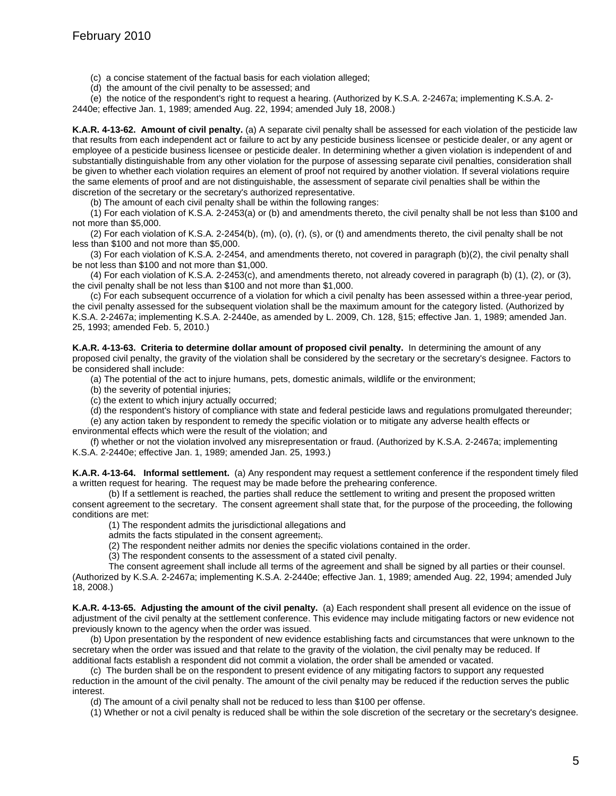(c) a concise statement of the factual basis for each violation alleged;

(d) the amount of the civil penalty to be assessed; and

(e) the notice of the respondent's right to request a hearing. (Authorized by K.S.A. 2-2467a; implementing K.S.A. 2- 2440e; effective Jan. 1, 1989; amended Aug. 22, 1994; amended July 18, 2008.)

**K.A.R. 4-13-62. Amount of civil penalty.** (a) A separate civil penalty shall be assessed for each violation of the pesticide law that results from each independent act or failure to act by any pesticide business licensee or pesticide dealer, or any agent or employee of a pesticide business licensee or pesticide dealer. In determining whether a given violation is independent of and substantially distinguishable from any other violation for the purpose of assessing separate civil penalties, consideration shall be given to whether each violation requires an element of proof not required by another violation. If several violations require the same elements of proof and are not distinguishable, the assessment of separate civil penalties shall be within the discretion of the secretary or the secretary's authorized representative.

(b) The amount of each civil penalty shall be within the following ranges:

(1) For each violation of K.S.A. 2-2453(a) or (b) and amendments thereto, the civil penalty shall be not less than \$100 and not more than \$5,000.

(2) For each violation of K.S.A. 2-2454(b), (m), (o), (r), (s), or (t) and amendments thereto, the civil penalty shall be not less than \$100 and not more than \$5,000.

(3) For each violation of K.S.A. 2-2454, and amendments thereto, not covered in paragraph (b)(2), the civil penalty shall be not less than \$100 and not more than \$1,000.

(4) For each violation of K.S.A. 2-2453(c), and amendments thereto, not already covered in paragraph (b) (1), (2), or (3), the civil penalty shall be not less than \$100 and not more than \$1,000.

(c) For each subsequent occurrence of a violation for which a civil penalty has been assessed within a three-year period, the civil penalty assessed for the subsequent violation shall be the maximum amount for the category listed. (Authorized by K.S.A. 2-2467a; implementing K.S.A. 2-2440e, as amended by L. 2009, Ch. 128, §15; effective Jan. 1, 1989; amended Jan. 25, 1993; amended Feb. 5, 2010.)

**K.A.R. 4-13-63. Criteria to determine dollar amount of proposed civil penalty.** In determining the amount of any proposed civil penalty, the gravity of the violation shall be considered by the secretary or the secretary's designee. Factors to be considered shall include:

(a) The potential of the act to injure humans, pets, domestic animals, wildlife or the environment;

(b) the severity of potential injuries;

(c) the extent to which injury actually occurred;

(d) the respondent's history of compliance with state and federal pesticide laws and regulations promulgated thereunder; (e) any action taken by respondent to remedy the specific violation or to mitigate any adverse health effects or

environmental effects which were the result of the violation; and (f) whether or not the violation involved any misrepresentation or fraud. (Authorized by K.S.A. 2-2467a; implementing K.S.A. 2-2440e; effective Jan. 1, 1989; amended Jan. 25, 1993.)

**K.A.R. 4-13-64. Informal settlement.** (a) Any respondent may request a settlement conference if the respondent timely filed a written request for hearing. The request may be made before the prehearing conference.

(b) If a settlement is reached, the parties shall reduce the settlement to writing and present the proposed written consent agreement to the secretary. The consent agreement shall state that, for the purpose of the proceeding, the following conditions are met:

(1) The respondent admits the jurisdictional allegations and

admits the facts stipulated in the consent agreement;.

(2) The respondent neither admits nor denies the specific violations contained in the order.

(3) The respondent consents to the assessment of a stated civil penalty.

The consent agreement shall include all terms of the agreement and shall be signed by all parties or their counsel. (Authorized by K.S.A. 2-2467a; implementing K.S.A. 2-2440e; effective Jan. 1, 1989; amended Aug. 22, 1994; amended July 18, 2008.)

**K.A.R. 4-13-65. Adjusting the amount of the civil penalty.** (a) Each respondent shall present all evidence on the issue of adjustment of the civil penalty at the settlement conference. This evidence may include mitigating factors or new evidence not previously known to the agency when the order was issued.

(b) Upon presentation by the respondent of new evidence establishing facts and circumstances that were unknown to the secretary when the order was issued and that relate to the gravity of the violation, the civil penalty may be reduced. If additional facts establish a respondent did not commit a violation, the order shall be amended or vacated.

(c) The burden shall be on the respondent to present evidence of any mitigating factors to support any requested reduction in the amount of the civil penalty. The amount of the civil penalty may be reduced if the reduction serves the public interest.

(d) The amount of a civil penalty shall not be reduced to less than \$100 per offense.

(1) Whether or not a civil penalty is reduced shall be within the sole discretion of the secretary or the secretary's designee.